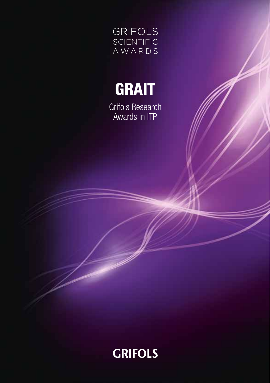



Grifols Research Awards in ITP

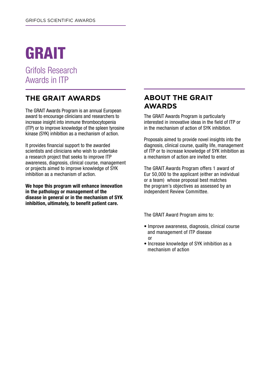# GRAIT

Grifols Research Awards in ITP

# **THE GRAIT AWARDS**

The GRAIT Awards Program is an annual European award to encourage clinicians and researchers to increase insight into immune thrombocytopenia (ITP) or to improve knowledge of the spleen tyrosine kinase (SYK) inhibition as a mechanism of action.

It provides financial support to the awarded scientists and clinicians who wish to undertake a research project that seeks to improve ITP awareness, diagnosis, clinical course, management or projects aimed to improve knowledge of SYK inhibition as a mechanism of action.

**We hope this program will enhance innovation in the pathology or management of the disease in general or in the mechanism of SYK inhibition, ultimately, to benefit patient care.**

#### **ABOUT THE GRAIT AWARDS**

The GRAIT Awards Program is particularly interested in innovative ideas in the field of ITP or in the mechanism of action of SYK inhibition.

Proposals aimed to provide novel insights into the diagnosis, clinical course, quality life, management of ITP or to increase knowledge of SYK inhibition as a mechanism of action are invited to enter.

The GRAIT Awards Program offers 1 award of Eur 50,000 to the applicant (either an individual or a team) whose proposal best matches the program's objectives as assessed by an independent Review Committee.

The GRAIT Award Program aims to:

- Improve awareness, diagnosis, clinical course and management of ITP disease or
- Increase knowledge of SYK inhibition as a mechanism of action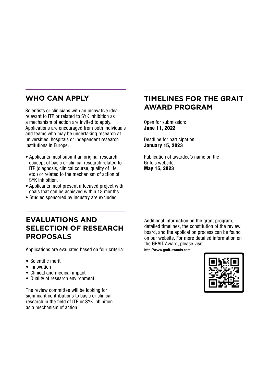## **WHO CAN APPLY**

Scientists or clinicians with an innovative idea relevant to ITP or related to SYK inhibition as a mechanism of action are invited to apply. Applications are encouraged from both individuals and teams who may be undertaking research at universities, hospitals or independent research institutions in Europe.

- Applicants must submit an original research concept of basic or clinical research related to ITP (diagnosis, clinical course, quality of life, etc.) or related to the mechanism of action of SYK inhibition.
- Applicants must present a focused project with goals that can be achieved within 18 months.
- Studies sponsored by industry are excluded.

### **TIMELINES FOR THE GRAIT AWARD PROGRAM**

Open for submission: June 11, 2022

Deadline for participation: January 15, 2023

Publication of awardee's name on the Grifols website: May 15, 2023

#### **EVALUATIONS AND SELECTION OF RESEARCH PROPOSALS**

Applications are evaluated based on four criteria:

- Scientific merit
- Innovation
- Clinical and medical impact
- Quality of research environment

The review committee will be looking for significant contributions to basic or clinical research in the field of ITP or SYK inhibition as a mechanism of action.

Additional information on the grant program, detailed timelines, the constitution of the review board, and the application process can be found on our website. For more detailed information on the GRAIT Award, please visit:

http://www.grait-awards.com